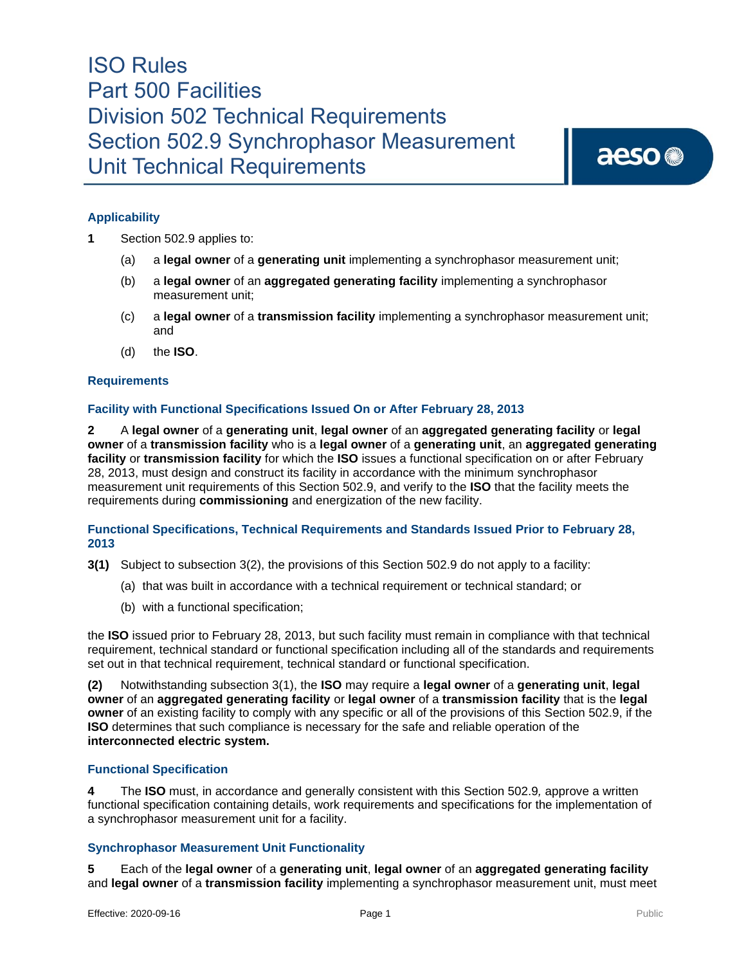## ISO Rules Part 500 Facilities Division 502 Technical Requirements Section 502.9 Synchrophasor Measurement Unit Technical Requirements

aeso<sup>®</sup>

## **Applicability**

- **1** Section 502.9 applies to:
	- (a) a **legal owner** of a **generating unit** implementing a synchrophasor measurement unit;
	- (b) a **legal owner** of an **aggregated generating facility** implementing a synchrophasor measurement unit;
	- (c) a **legal owner** of a **transmission facility** implementing a synchrophasor measurement unit; and
	- (d) the **ISO**.

### **Requirements**

### **Facility with Functional Specifications Issued On or After February 28, 2013**

**2** A **legal owner** of a **generating unit**, **legal owner** of an **aggregated generating facility** or **legal owner** of a **transmission facility** who is a **legal owner** of a **generating unit**, an **aggregated generating facility** or **transmission facility** for which the **ISO** issues a functional specification on or after February 28, 2013, must design and construct its facility in accordance with the minimum synchrophasor measurement unit requirements of this Section 502.9, and verify to the **ISO** that the facility meets the requirements during **commissioning** and energization of the new facility.

### **Functional Specifications, Technical Requirements and Standards Issued Prior to February 28, 2013**

- **3(1)** Subject to subsection 3(2), the provisions of this Section 502.9 do not apply to a facility:
	- (a) that was built in accordance with a technical requirement or technical standard; or
	- (b) with a functional specification;

the **ISO** issued prior to February 28, 2013, but such facility must remain in compliance with that technical requirement, technical standard or functional specification including all of the standards and requirements set out in that technical requirement, technical standard or functional specification.

**(2)** Notwithstanding subsection 3(1), the **ISO** may require a **legal owner** of a **generating unit**, **legal owner** of an **aggregated generating facility** or **legal owner** of a **transmission facility** that is the **legal owner** of an existing facility to comply with any specific or all of the provisions of this Section 502.9, if the **ISO** determines that such compliance is necessary for the safe and reliable operation of the **interconnected electric system.** 

#### **Functional Specification**

**4** The **ISO** must, in accordance and generally consistent with this Section 502.9*,* approve a written functional specification containing details, work requirements and specifications for the implementation of a synchrophasor measurement unit for a facility.

### **Synchrophasor Measurement Unit Functionality**

**5** Each of the **legal owner** of a **generating unit**, **legal owner** of an **aggregated generating facility** and **legal owner** of a **transmission facility** implementing a synchrophasor measurement unit, must meet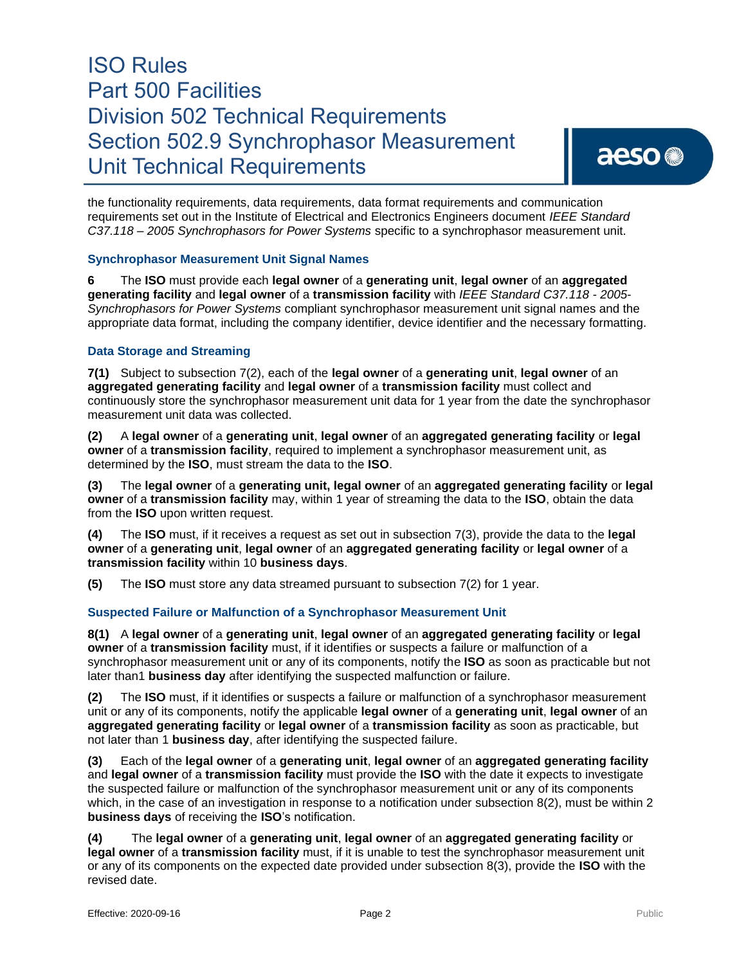# ISO Rules Part 500 Facilities Division 502 Technical Requirements Section 502.9 Synchrophasor Measurement Unit Technical Requirements

the functionality requirements, data requirements, data format requirements and communication requirements set out in the Institute of Electrical and Electronics Engineers document *IEEE Standard C37.118 – 2005 Synchrophasors for Power Systems* specific to a synchrophasor measurement unit.

### **Synchrophasor Measurement Unit Signal Names**

**6** The **ISO** must provide each **legal owner** of a **generating unit**, **legal owner** of an **aggregated generating facility** and **legal owner** of a **transmission facility** with *IEEE Standard C37.118 - 2005*- *Synchrophasors for Power Systems* compliant synchrophasor measurement unit signal names and the appropriate data format, including the company identifier, device identifier and the necessary formatting.

## **Data Storage and Streaming**

**7(1)** Subject to subsection 7(2), each of the **legal owner** of a **generating unit**, **legal owner** of an **aggregated generating facility** and **legal owner** of a **transmission facility** must collect and continuously store the synchrophasor measurement unit data for 1 year from the date the synchrophasor measurement unit data was collected.

**(2)** A **legal owner** of a **generating unit**, **legal owner** of an **aggregated generating facility** or **legal owner** of a **transmission facility**, required to implement a synchrophasor measurement unit, as determined by the **ISO**, must stream the data to the **ISO**.

**(3)** The **legal owner** of a **generating unit, legal owner** of an **aggregated generating facility** or **legal owner** of a **transmission facility** may, within 1 year of streaming the data to the **ISO**, obtain the data from the **ISO** upon written request.

**(4)** The **ISO** must, if it receives a request as set out in subsection 7(3), provide the data to the **legal owner** of a **generating unit**, **legal owner** of an **aggregated generating facility** or **legal owner** of a **transmission facility** within 10 **business days**.

**(5)** The **ISO** must store any data streamed pursuant to subsection 7(2) for 1 year.

## **Suspected Failure or Malfunction of a Synchrophasor Measurement Unit**

**8(1)** A **legal owner** of a **generating unit**, **legal owner** of an **aggregated generating facility** or **legal owner** of a **transmission facility** must, if it identifies or suspects a failure or malfunction of a synchrophasor measurement unit or any of its components, notify the **ISO** as soon as practicable but not later than1 **business day** after identifying the suspected malfunction or failure.

**(2)** The **ISO** must, if it identifies or suspects a failure or malfunction of a synchrophasor measurement unit or any of its components, notify the applicable **legal owner** of a **generating unit**, **legal owner** of an **aggregated generating facility** or **legal owner** of a **transmission facility** as soon as practicable, but not later than 1 **business day**, after identifying the suspected failure.

**(3)** Each of the **legal owner** of a **generating unit**, **legal owner** of an **aggregated generating facility** and **legal owner** of a **transmission facility** must provide the **ISO** with the date it expects to investigate the suspected failure or malfunction of the synchrophasor measurement unit or any of its components which, in the case of an investigation in response to a notification under subsection 8(2), must be within 2 **business days** of receiving the **ISO**'s notification.

**(4)** The **legal owner** of a **generating unit**, **legal owner** of an **aggregated generating facility** or **legal owner** of a **transmission facility** must, if it is unable to test the synchrophasor measurement unit or any of its components on the expected date provided under subsection 8(3), provide the **ISO** with the revised date.